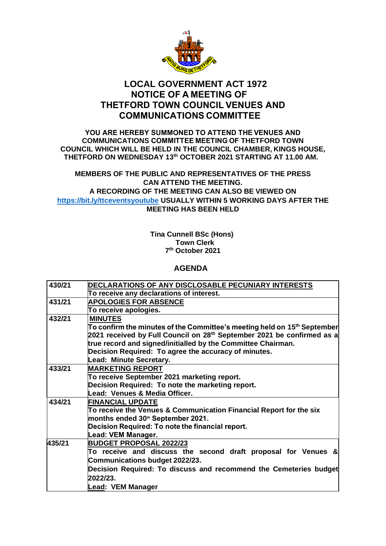

# **LOCAL GOVERNMENT ACT 1972 NOTICE OF A MEETING OF  THETFORD TOWN COUNCIL VENUES AND COMMUNICATIONS COMMITTEE**

#### **YOU ARE HEREBY SUMMONED TO ATTEND THE VENUES AND COMMUNICATIONS COMMITTEE MEETING OF THETFORD TOWN COUNCIL WHICH WILL BE HELD IN THE COUNCIL CHAMBER, KINGS HOUSE, THETFORD ON WEDNESDAY 13 th OCTOBER 2021 STARTING AT 11.00 AM.**

### **MEMBERS OF THE PUBLIC AND REPRESENTATIVES OF THE PRESS CAN ATTEND THE MEETING. A RECORDING OF THE MEETING CAN ALSO BE VIEWED ON [https://bit.ly/ttceventsyoutube](https://bit.ly/ttceventsyoutube%C2%A0USUALLY) USUALLY WITHIN 5 WORKING DAYS AFTER THE MEETING HAS BEEN HELD**

#### **Tina Cunnell BSc (Hons) Town Clerk 7 th October 2021**

## **AGENDA**

| 430/21 | DECLARATIONS OF ANY DISCLOSABLE PECUNIARY INTERESTS                                                |
|--------|----------------------------------------------------------------------------------------------------|
|        | To receive any declarations of interest.                                                           |
| 431/21 | <b>APOLOGIES FOR ABSENCE</b>                                                                       |
|        | To receive apologies.                                                                              |
| 432/21 | <b>MINUTES</b>                                                                                     |
|        | $\sf{To}$ confirm the minutes of the Committee's meeting held on 15 <sup>th</sup> September $\sf $ |
|        | 2021 received by Full Council on 28 <sup>th</sup> September 2021 be confirmed as a                 |
|        | true record and signed/initialled by the Committee Chairman.                                       |
|        | Decision Required: To agree the accuracy of minutes.                                               |
|        | Lead: Minute Secretary.                                                                            |
| 433/21 | <b>MARKETING REPORT</b>                                                                            |
|        | To receive September 2021 marketing report.                                                        |
|        | Decision Required: To note the marketing report.                                                   |
|        | Lead: Venues & Media Officer.                                                                      |
| 434/21 | <b>FINANCIAL UPDATE</b>                                                                            |
|        | To receive the Venues & Communication Financial Report for the six                                 |
|        | months ended 30th September 2021.                                                                  |
|        | Decision Required: To note the financial report.                                                   |
|        | Lead: VEM Manager.                                                                                 |
| 435/21 | <b>BUDGET PROPOSAL 2022/23</b>                                                                     |
|        | To receive and discuss the second draft proposal for Venues &                                      |
|        | Communications budget 2022/23.                                                                     |
|        | Decision Required: To discuss and recommend the Cemeteries budget                                  |
|        | 2022/23.                                                                                           |
|        | Lead: VEM Manager                                                                                  |
|        |                                                                                                    |